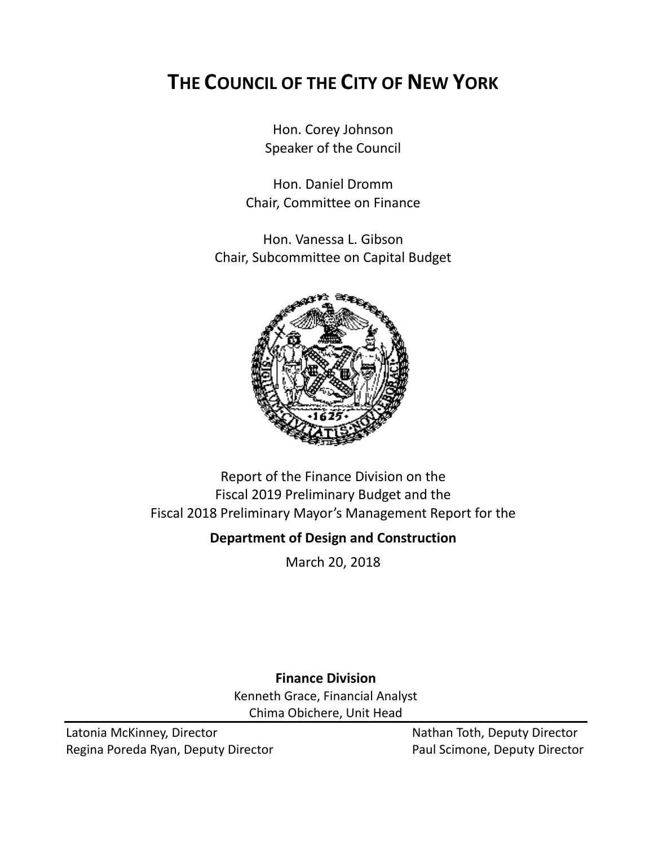# **THE COUNCIL OF THE CITY OF NEW YORK**

Hon. Corey Johnson Speaker of the Council

Hon. Daniel Dromm Chair, Committee on Finance

Hon. Vanessa L. Gibson Chair, Subcommittee on Capital Budget



Report of the Finance Division on the Fiscal 2019 Preliminary Budget and the Fiscal 2018 Preliminary Mayor's Management Report for the

### **Department of Design and Construction**

March 20, 2018

**Finance Division** Kenneth Grace, Financial Analyst Chima Obichere, Unit Head

Latonia McKinney, Director Nathan Toth, Deputy Director Regina Poreda Ryan, Deputy Director **Paul Scimone, Deputy Director**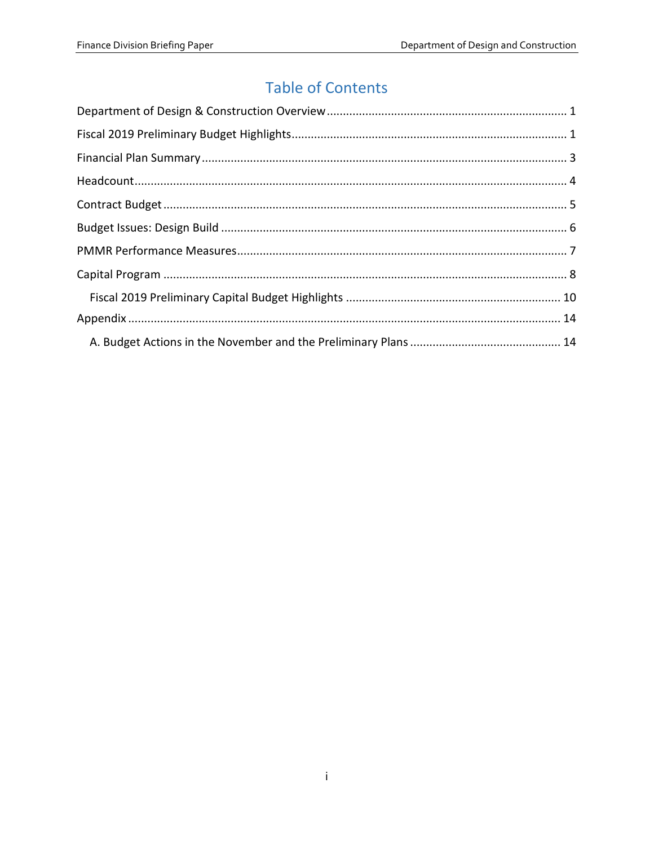# **Table of Contents**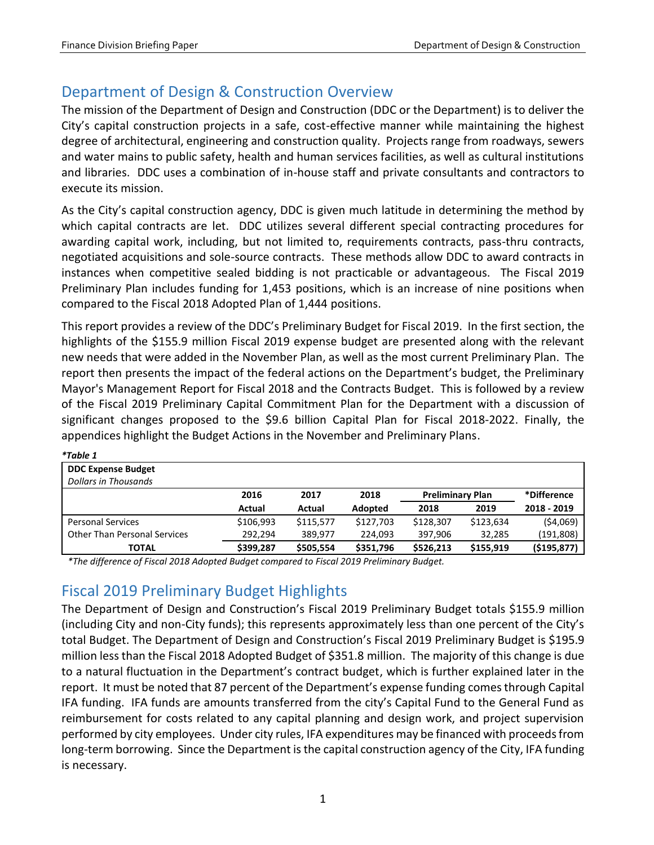*\*Table 1*

## <span id="page-2-0"></span>Department of Design & Construction Overview

The mission of the Department of Design and Construction (DDC or the Department) is to deliver the City's capital construction projects in a safe, cost-effective manner while maintaining the highest degree of architectural, engineering and construction quality. Projects range from roadways, sewers and water mains to public safety, health and human services facilities, as well as cultural institutions and libraries. DDC uses a combination of in-house staff and private consultants and contractors to execute its mission.

As the City's capital construction agency, DDC is given much latitude in determining the method by which capital contracts are let. DDC utilizes several different special contracting procedures for awarding capital work, including, but not limited to, requirements contracts, pass-thru contracts, negotiated acquisitions and sole-source contracts. These methods allow DDC to award contracts in instances when competitive sealed bidding is not practicable or advantageous. The Fiscal 2019 Preliminary Plan includes funding for 1,453 positions, which is an increase of nine positions when compared to the Fiscal 2018 Adopted Plan of 1,444 positions.

This report provides a review of the DDC's Preliminary Budget for Fiscal 2019. In the first section, the highlights of the \$155.9 million Fiscal 2019 expense budget are presented along with the relevant new needs that were added in the November Plan, as well as the most current Preliminary Plan. The report then presents the impact of the federal actions on the Department's budget, the Preliminary Mayor's Management Report for Fiscal 2018 and the Contracts Budget. This is followed by a review of the Fiscal 2019 Preliminary Capital Commitment Plan for the Department with a discussion of significant changes proposed to the \$9.6 billion Capital Plan for Fiscal 2018-2022. Finally, the appendices highlight the Budget Actions in the November and Preliminary Plans.

| * I able 1                          |           |           |           |                         |           |               |
|-------------------------------------|-----------|-----------|-----------|-------------------------|-----------|---------------|
| <b>DDC Expense Budget</b>           |           |           |           |                         |           |               |
| <b>Dollars in Thousands</b>         |           |           |           |                         |           |               |
|                                     | 2016      | 2017      | 2018      | <b>Preliminary Plan</b> |           | *Difference   |
|                                     | Actual    | Actual    | Adopted   | 2018                    | 2019      | 2018 - 2019   |
| <b>Personal Services</b>            | \$106,993 | \$115,577 | \$127,703 | \$128,307               | \$123,634 | (54,069)      |
| <b>Other Than Personal Services</b> | 292,294   | 389,977   | 224,093   | 397,906                 | 32,285    | (191, 808)    |
| TOTAL                               | \$399,287 | \$505,554 | \$351,796 | \$526,213               | \$155,919 | ( \$195, 877) |

<span id="page-2-1"></span>*\*The difference of Fiscal 2018 Adopted Budget compared to Fiscal 2019 Preliminary Budget.*

## Fiscal 2019 Preliminary Budget Highlights

The Department of Design and Construction's Fiscal 2019 Preliminary Budget totals \$155.9 million (including City and non-City funds); this represents approximately less than one percent of the City's total Budget. The Department of Design and Construction's Fiscal 2019 Preliminary Budget is \$195.9 million less than the Fiscal 2018 Adopted Budget of \$351.8 million. The majority of this change is due to a natural fluctuation in the Department's contract budget, which is further explained later in the report. It must be noted that 87 percent of the Department's expense funding comes through Capital IFA funding. IFA funds are amounts transferred from the city's Capital Fund to the General Fund as reimbursement for costs related to any capital planning and design work, and project supervision performed by city employees. Under city rules, IFA expenditures may be financed with proceeds from long-term borrowing. Since the Department is the capital construction agency of the City, IFA funding is necessary.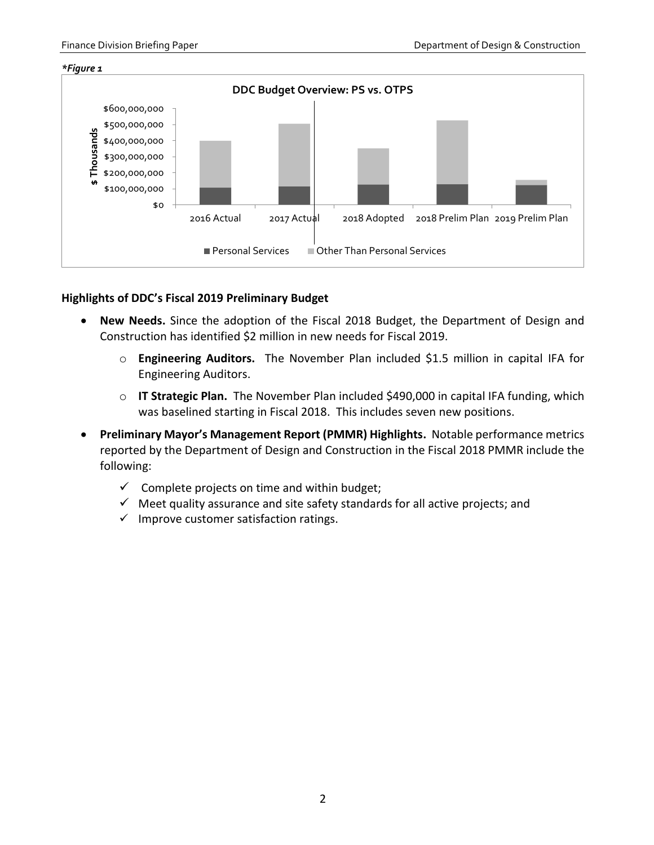#### *\*Figure 1*



### **Highlights of DDC's Fiscal 2019 Preliminary Budget**

- **New Needs.** Since the adoption of the Fiscal 2018 Budget, the Department of Design and Construction has identified \$2 million in new needs for Fiscal 2019.
	- o **Engineering Auditors.** The November Plan included \$1.5 million in capital IFA for Engineering Auditors.
	- o **IT Strategic Plan.** The November Plan included \$490,000 in capital IFA funding, which was baselined starting in Fiscal 2018. This includes seven new positions.
- **Preliminary Mayor's Management Report (PMMR) Highlights.** Notable performance metrics reported by the Department of Design and Construction in the Fiscal 2018 PMMR include the following:
	- $\checkmark$  Complete projects on time and within budget;
	- $\checkmark$  Meet quality assurance and site safety standards for all active projects; and
	- $\checkmark$  Improve customer satisfaction ratings.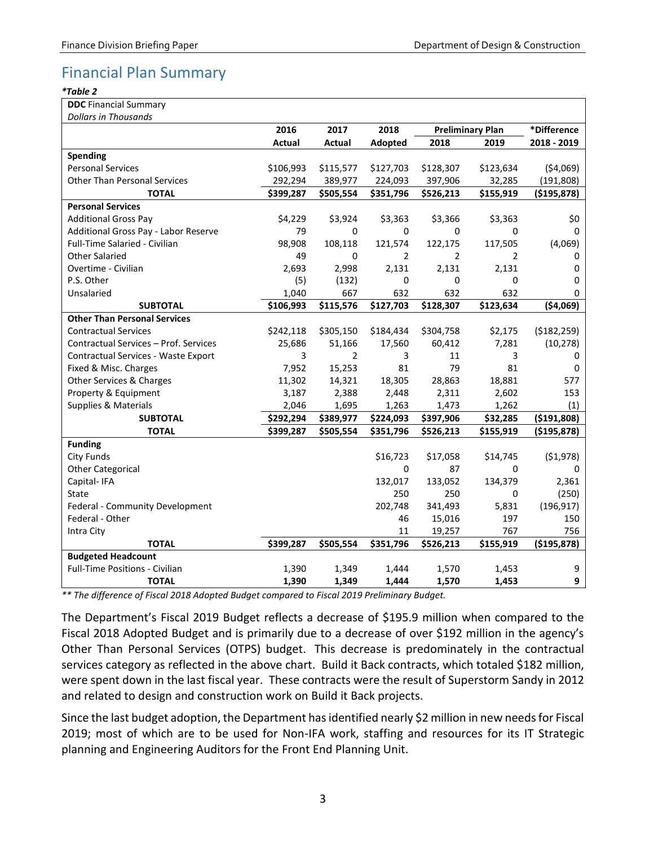# <span id="page-4-0"></span>Financial Plan Summary

#### *\*Table 2*

|  | <b>DDC</b> Financial Summary |
|--|------------------------------|
|  |                              |

| <b>Dollars in Thousands</b>           |           |                |                |                         |           |               |  |  |
|---------------------------------------|-----------|----------------|----------------|-------------------------|-----------|---------------|--|--|
|                                       | 2016      | 2017           | 2018           | <b>Preliminary Plan</b> |           | *Difference   |  |  |
|                                       | Actual    | Actual         | Adopted        | 2018                    | 2019      | 2018 - 2019   |  |  |
| Spending                              |           |                |                |                         |           |               |  |  |
| <b>Personal Services</b>              | \$106,993 | \$115,577      | \$127,703      | \$128,307               | \$123,634 | (54,069)      |  |  |
| <b>Other Than Personal Services</b>   | 292,294   | 389,977        | 224,093        | 397,906                 | 32,285    | (191, 808)    |  |  |
| <b>TOTAL</b>                          | \$399,287 | \$505,554      | \$351,796      | \$526,213               | \$155,919 | ( \$195, 878) |  |  |
| <b>Personal Services</b>              |           |                |                |                         |           |               |  |  |
| <b>Additional Gross Pay</b>           | \$4,229   | \$3,924        | \$3,363        | \$3,366                 | \$3,363   | \$0           |  |  |
| Additional Gross Pay - Labor Reserve  | 79        | 0              | 0              | 0                       | 0         | $\Omega$      |  |  |
| <b>Full-Time Salaried - Civilian</b>  | 98,908    | 108,118        | 121,574        | 122,175                 | 117,505   | (4,069)       |  |  |
| <b>Other Salaried</b>                 | 49        | $\Omega$       | $\overline{2}$ | $\overline{2}$          | 2         | 0             |  |  |
| Overtime - Civilian                   | 2,693     | 2,998          | 2,131          | 2,131                   | 2,131     | $\Omega$      |  |  |
| P.S. Other                            | (5)       | (132)          | 0              | 0                       | 0         | 0             |  |  |
| Unsalaried                            | 1,040     | 667            | 632            | 632                     | 632       | 0             |  |  |
| <b>SUBTOTAL</b>                       | \$106,993 | \$115,576      | \$127,703      | \$128,307               | \$123,634 | (54,069)      |  |  |
| <b>Other Than Personal Services</b>   |           |                |                |                         |           |               |  |  |
| <b>Contractual Services</b>           | \$242,118 | \$305,150      | \$184,434      | \$304,758               | \$2,175   | ( \$182, 259) |  |  |
| Contractual Services - Prof. Services | 25,686    | 51,166         | 17,560         | 60,412                  | 7,281     | (10, 278)     |  |  |
| Contractual Services - Waste Export   | 3         | $\overline{2}$ | 3              | 11                      | 3         | 0             |  |  |
| Fixed & Misc. Charges                 | 7,952     | 15,253         | 81             | 79                      | 81        | 0             |  |  |
| Other Services & Charges              | 11,302    | 14,321         | 18,305         | 28,863                  | 18,881    | 577           |  |  |
| Property & Equipment                  | 3,187     | 2,388          | 2,448          | 2,311                   | 2,602     | 153           |  |  |
| <b>Supplies &amp; Materials</b>       | 2,046     | 1,695          | 1,263          | 1,473                   | 1,262     | (1)           |  |  |
| <b>SUBTOTAL</b>                       | \$292,294 | \$389,977      | \$224,093      | \$397,906               | \$32,285  | ( \$191, 808) |  |  |
| <b>TOTAL</b>                          | \$399,287 | \$505,554      | \$351,796      | \$526,213               | \$155,919 | (\$195,878)   |  |  |
| <b>Funding</b>                        |           |                |                |                         |           |               |  |  |
| <b>City Funds</b>                     |           |                | \$16,723       | \$17,058                | \$14,745  | ( \$1,978)    |  |  |
| <b>Other Categorical</b>              |           |                | 0              | 87                      | 0         | 0             |  |  |
| Capital-IFA                           |           |                | 132,017        | 133,052                 | 134,379   | 2,361         |  |  |
| <b>State</b>                          |           |                | 250            | 250                     | 0         | (250)         |  |  |
| Federal - Community Development       |           |                | 202,748        | 341,493                 | 5,831     | (196, 917)    |  |  |
| Federal - Other                       |           |                | 46             | 15,016                  | 197       | 150           |  |  |
| Intra City                            |           |                | 11             | 19,257                  | 767       | 756           |  |  |
| <b>TOTAL</b>                          | \$399,287 | \$505,554      | \$351,796      | \$526,213               | \$155,919 | ( \$195, 878) |  |  |
| <b>Budgeted Headcount</b>             |           |                |                |                         |           |               |  |  |
| Full-Time Positions - Civilian        | 1,390     | 1,349          | 1,444          | 1,570                   | 1,453     | 9             |  |  |
| <b>TOTAL</b>                          | 1,390     | 1,349          | 1,444          | 1,570                   | 1,453     | 9             |  |  |

*\*\* The difference of Fiscal 2018 Adopted Budget compared to Fiscal 2019 Preliminary Budget.*

The Department's Fiscal 2019 Budget reflects a decrease of \$195.9 million when compared to the Fiscal 2018 Adopted Budget and is primarily due to a decrease of over \$192 million in the agency's Other Than Personal Services (OTPS) budget. This decrease is predominately in the contractual services category as reflected in the above chart. Build it Back contracts, which totaled \$182 million, were spent down in the last fiscal year. These contracts were the result of Superstorm Sandy in 2012 and related to design and construction work on Build it Back projects.

Since the last budget adoption, the Department has identified nearly \$2 million in new needs for Fiscal 2019; most of which are to be used for Non-IFA work, staffing and resources for its IT Strategic planning and Engineering Auditors for the Front End Planning Unit.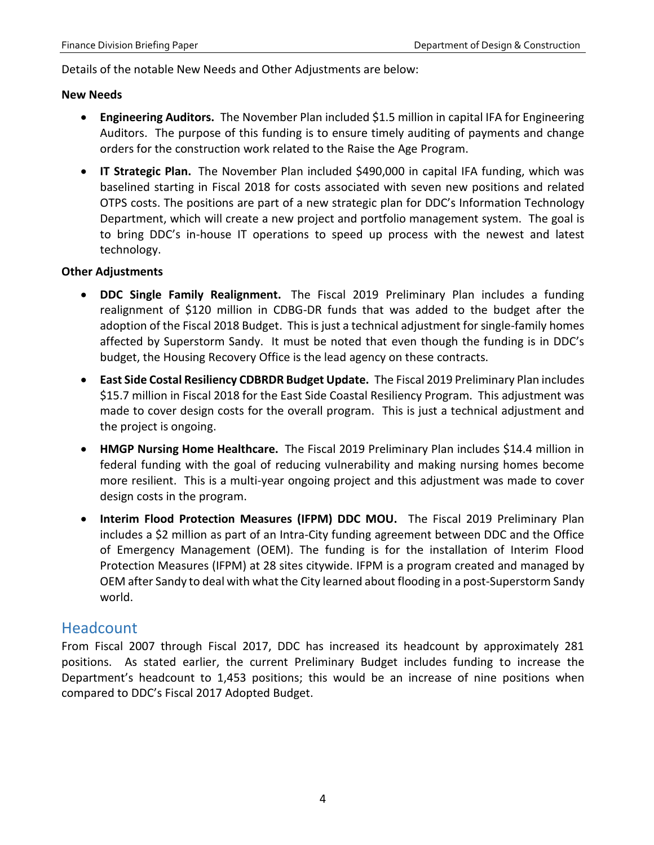Details of the notable New Needs and Other Adjustments are below:

#### **New Needs**

- **Engineering Auditors.** The November Plan included \$1.5 million in capital IFA for Engineering Auditors. The purpose of this funding is to ensure timely auditing of payments and change orders for the construction work related to the Raise the Age Program.
- **IT Strategic Plan.** The November Plan included \$490,000 in capital IFA funding, which was baselined starting in Fiscal 2018 for costs associated with seven new positions and related OTPS costs. The positions are part of a new strategic plan for DDC's Information Technology Department, which will create a new project and portfolio management system. The goal is to bring DDC's in-house IT operations to speed up process with the newest and latest technology.

### **Other Adjustments**

- **DDC Single Family Realignment.** The Fiscal 2019 Preliminary Plan includes a funding realignment of \$120 million in CDBG-DR funds that was added to the budget after the adoption of the Fiscal 2018 Budget. This is just a technical adjustment for single-family homes affected by Superstorm Sandy. It must be noted that even though the funding is in DDC's budget, the Housing Recovery Office is the lead agency on these contracts.
- **East Side Costal Resiliency CDBRDR Budget Update.** The Fiscal 2019 Preliminary Plan includes \$15.7 million in Fiscal 2018 for the East Side Coastal Resiliency Program. This adjustment was made to cover design costs for the overall program. This is just a technical adjustment and the project is ongoing.
- **HMGP Nursing Home Healthcare.** The Fiscal 2019 Preliminary Plan includes \$14.4 million in federal funding with the goal of reducing vulnerability and making nursing homes become more resilient. This is a multi-year ongoing project and this adjustment was made to cover design costs in the program.
- **Interim Flood Protection Measures (IFPM) DDC MOU.** The Fiscal 2019 Preliminary Plan includes a \$2 million as part of an Intra-City funding agreement between DDC and the Office of Emergency Management (OEM). The funding is for the installation of Interim Flood Protection Measures (IFPM) at 28 sites citywide. IFPM is a program created and managed by OEM after Sandy to deal with what the City learned about flooding in a post-Superstorm Sandy world.

### <span id="page-5-0"></span>Headcount

From Fiscal 2007 through Fiscal 2017, DDC has increased its headcount by approximately 281 positions. As stated earlier, the current Preliminary Budget includes funding to increase the Department's headcount to 1,453 positions; this would be an increase of nine positions when compared to DDC's Fiscal 2017 Adopted Budget.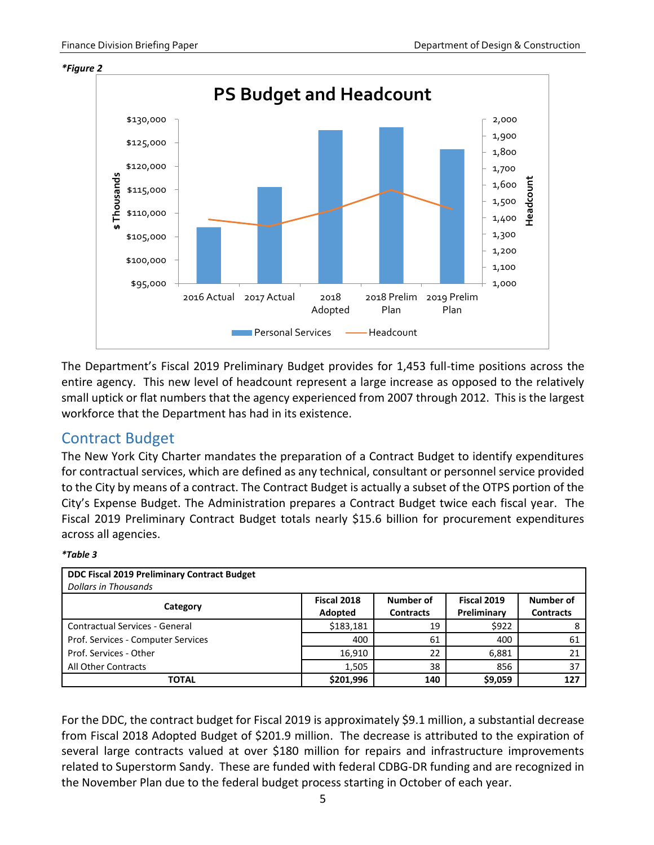

The Department's Fiscal 2019 Preliminary Budget provides for 1,453 full-time positions across the entire agency. This new level of headcount represent a large increase as opposed to the relatively small uptick or flat numbers that the agency experienced from 2007 through 2012. This is the largest workforce that the Department has had in its existence.

### <span id="page-6-0"></span>Contract Budget

The New York City Charter mandates the preparation of a Contract Budget to identify expenditures for contractual services, which are defined as any technical, consultant or personnel service provided to the City by means of a contract. The Contract Budget is actually a subset of the OTPS portion of the City's Expense Budget. The Administration prepares a Contract Budget twice each fiscal year. The Fiscal 2019 Preliminary Contract Budget totals nearly \$15.6 billion for procurement expenditures across all agencies.

### *\*Table 3*

| DDC Fiscal 2019 Preliminary Contract Budget<br><b>Dollars in Thousands</b> |                        |                               |                            |                               |
|----------------------------------------------------------------------------|------------------------|-------------------------------|----------------------------|-------------------------------|
| Category                                                                   | Fiscal 2018<br>Adopted | Number of<br><b>Contracts</b> | Fiscal 2019<br>Preliminary | Number of<br><b>Contracts</b> |
| Contractual Services - General                                             | \$183,181              | 19                            | \$922                      |                               |
| Prof. Services - Computer Services                                         | 400                    | 61                            | 400                        | 61                            |
| Prof. Services - Other                                                     | 16,910                 | 22                            | 6,881                      | 21                            |
| All Other Contracts                                                        | 1,505                  | 38                            | 856                        | 37                            |
| <b>TOTAL</b>                                                               | \$201,996              | 140                           | \$9,059                    | 127                           |

For the DDC, the contract budget for Fiscal 2019 is approximately \$9.1 million, a substantial decrease from Fiscal 2018 Adopted Budget of \$201.9 million. The decrease is attributed to the expiration of several large contracts valued at over \$180 million for repairs and infrastructure improvements related to Superstorm Sandy. These are funded with federal CDBG-DR funding and are recognized in the November Plan due to the federal budget process starting in October of each year.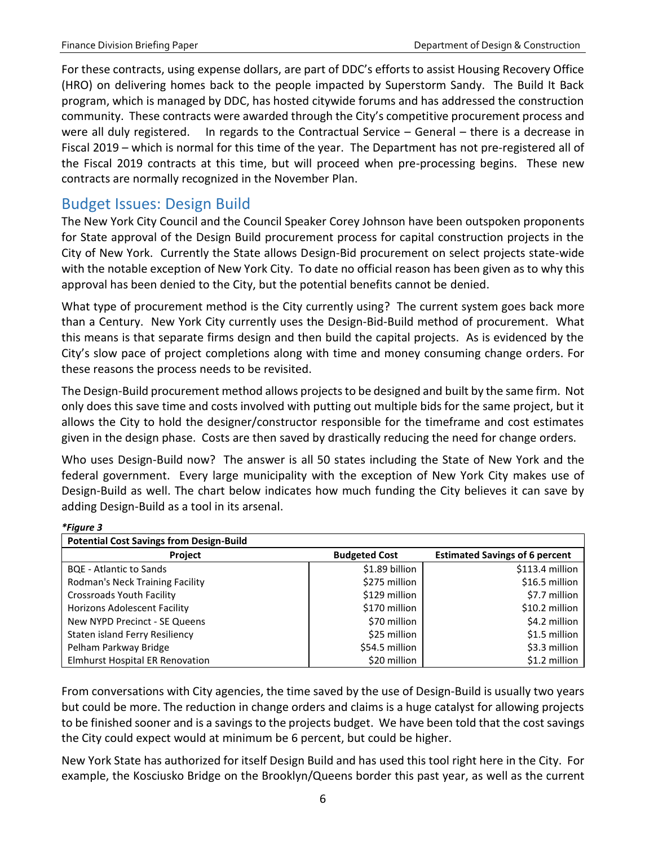For these contracts, using expense dollars, are part of DDC's efforts to assist Housing Recovery Office (HRO) on delivering homes back to the people impacted by Superstorm Sandy. The Build It Back program, which is managed by DDC, has hosted citywide forums and has addressed the construction community. These contracts were awarded through the City's competitive procurement process and were all duly registered. In regards to the Contractual Service – General – there is a decrease in Fiscal 2019 – which is normal for this time of the year. The Department has not pre-registered all of the Fiscal 2019 contracts at this time, but will proceed when pre-processing begins. These new contracts are normally recognized in the November Plan.

### <span id="page-7-0"></span>Budget Issues: Design Build

The New York City Council and the Council Speaker Corey Johnson have been outspoken proponents for State approval of the Design Build procurement process for capital construction projects in the City of New York. Currently the State allows Design-Bid procurement on select projects state-wide with the notable exception of New York City. To date no official reason has been given as to why this approval has been denied to the City, but the potential benefits cannot be denied.

What type of procurement method is the City currently using? The current system goes back more than a Century. New York City currently uses the Design-Bid-Build method of procurement. What this means is that separate firms design and then build the capital projects. As is evidenced by the City's slow pace of project completions along with time and money consuming change orders. For these reasons the process needs to be revisited.

The Design-Build procurement method allows projects to be designed and built by the same firm. Not only does this save time and costs involved with putting out multiple bids for the same project, but it allows the City to hold the designer/constructor responsible for the timeframe and cost estimates given in the design phase. Costs are then saved by drastically reducing the need for change orders.

Who uses Design-Build now? The answer is all 50 states including the State of New York and the federal government. Every large municipality with the exception of New York City makes use of Design-Build as well. The chart below indicates how much funding the City believes it can save by adding Design-Build as a tool in its arsenal.

| <b>Potential Cost Savings from Design-Build</b> |                      |                                       |
|-------------------------------------------------|----------------------|---------------------------------------|
| <b>Project</b>                                  | <b>Budgeted Cost</b> | <b>Estimated Savings of 6 percent</b> |
| <b>BQE</b> - Atlantic to Sands                  | \$1.89 billion       | \$113.4 million                       |
| Rodman's Neck Training Facility                 | \$275 million        | \$16.5 million                        |
| <b>Crossroads Youth Facility</b>                | \$129 million        | \$7.7 million                         |
| <b>Horizons Adolescent Facility</b>             | \$170 million        | \$10.2 million                        |
| New NYPD Precinct - SE Queens                   | \$70 million         | \$4.2 million                         |
| Staten island Ferry Resiliency                  | \$25 million         | \$1.5 million                         |
| Pelham Parkway Bridge                           | \$54.5 million       | \$3.3 million                         |
| <b>Elmhurst Hospital ER Renovation</b>          | \$20 million         | \$1.2 million                         |

*\*Figure 3*

From conversations with City agencies, the time saved by the use of Design-Build is usually two years but could be more. The reduction in change orders and claims is a huge catalyst for allowing projects to be finished sooner and is a savings to the projects budget. We have been told that the cost savings the City could expect would at minimum be 6 percent, but could be higher.

New York State has authorized for itself Design Build and has used this tool right here in the City. For example, the Kosciusko Bridge on the Brooklyn/Queens border this past year, as well as the current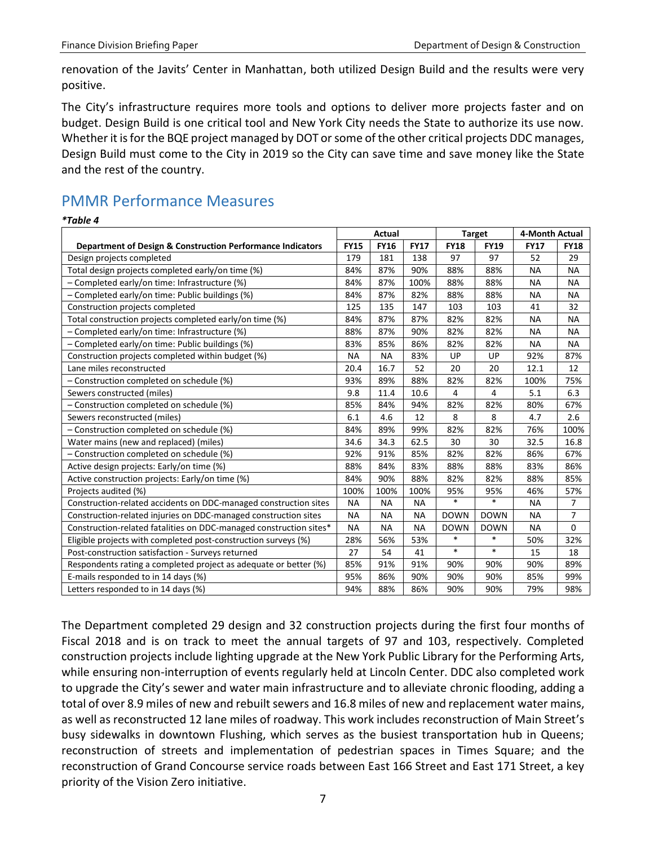renovation of the Javits' Center in Manhattan, both utilized Design Build and the results were very positive.

The City's infrastructure requires more tools and options to deliver more projects faster and on budget. Design Build is one critical tool and New York City needs the State to authorize its use now. Whether it is for the BQE project managed by DOT or some of the other critical projects DDC manages, Design Build must come to the City in 2019 so the City can save time and save money like the State and the rest of the country.

# <span id="page-8-0"></span>PMMR Performance Measures

*\*Table 4*

|                                                                    | Actual      |             | <b>Target</b> |             | 4-Month Actual |             |                |
|--------------------------------------------------------------------|-------------|-------------|---------------|-------------|----------------|-------------|----------------|
| Department of Design & Construction Performance Indicators         | <b>FY15</b> | <b>FY16</b> | <b>FY17</b>   | <b>FY18</b> | <b>FY19</b>    | <b>FY17</b> | <b>FY18</b>    |
| Design projects completed                                          | 179         | 181         | 138           | 97          | 97             | 52          | 29             |
| Total design projects completed early/on time (%)                  | 84%         | 87%         | 90%           | 88%         | 88%            | <b>NA</b>   | <b>NA</b>      |
| - Completed early/on time: Infrastructure (%)                      | 84%         | 87%         | 100%          | 88%         | 88%            | <b>NA</b>   | <b>NA</b>      |
| - Completed early/on time: Public buildings (%)                    | 84%         | 87%         | 82%           | 88%         | 88%            | NА          | <b>NA</b>      |
| Construction projects completed                                    | 125         | 135         | 147           | 103         | 103            | 41          | 32             |
| Total construction projects completed early/on time (%)            | 84%         | 87%         | 87%           | 82%         | 82%            | NА          | <b>NA</b>      |
| - Completed early/on time: Infrastructure (%)                      | 88%         | 87%         | 90%           | 82%         | 82%            | <b>NA</b>   | <b>NA</b>      |
| - Completed early/on time: Public buildings (%)                    | 83%         | 85%         | 86%           | 82%         | 82%            | <b>NA</b>   | <b>NA</b>      |
| Construction projects completed within budget (%)                  | <b>NA</b>   | <b>NA</b>   | 83%           | UP          | UP             | 92%         | 87%            |
| Lane miles reconstructed                                           | 20.4        | 16.7        | 52            | 20          | 20             | 12.1        | 12             |
| - Construction completed on schedule (%)                           | 93%         | 89%         | 88%           | 82%         | 82%            | 100%        | 75%            |
| Sewers constructed (miles)                                         | 9.8         | 11.4        | 10.6          | 4           | 4              | 5.1         | 6.3            |
| - Construction completed on schedule (%)                           | 85%         | 84%         | 94%           | 82%         | 82%            | 80%         | 67%            |
| Sewers reconstructed (miles)                                       | 6.1         | 4.6         | 12            | 8           | 8              | 4.7         | 2.6            |
| - Construction completed on schedule (%)                           | 84%         | 89%         | 99%           | 82%         | 82%            | 76%         | 100%           |
| Water mains (new and replaced) (miles)                             | 34.6        | 34.3        | 62.5          | 30          | 30             | 32.5        | 16.8           |
| - Construction completed on schedule (%)                           | 92%         | 91%         | 85%           | 82%         | 82%            | 86%         | 67%            |
| Active design projects: Early/on time (%)                          | 88%         | 84%         | 83%           | 88%         | 88%            | 83%         | 86%            |
| Active construction projects: Early/on time (%)                    | 84%         | 90%         | 88%           | 82%         | 82%            | 88%         | 85%            |
| Projects audited (%)                                               | 100%        | 100%        | 100%          | 95%         | 95%            | 46%         | 57%            |
| Construction-related accidents on DDC-managed construction sites   | <b>NA</b>   | <b>NA</b>   | <b>NA</b>     | $\ast$      | $\ast$         | <b>NA</b>   | $\overline{7}$ |
| Construction-related injuries on DDC-managed construction sites    | <b>NA</b>   | <b>NA</b>   | <b>NA</b>     | <b>DOWN</b> | <b>DOWN</b>    | <b>NA</b>   | $\overline{7}$ |
| Construction-related fatalities on DDC-managed construction sites* | <b>NA</b>   | <b>NA</b>   | <b>NA</b>     | <b>DOWN</b> | <b>DOWN</b>    | <b>NA</b>   | 0              |
| Eligible projects with completed post-construction surveys (%)     | 28%         | 56%         | 53%           | $\ast$      | $\ast$         | 50%         | 32%            |
| Post-construction satisfaction - Surveys returned                  | 27          | 54          | 41            | $\ast$      | $\ast$         | 15          | 18             |
| Respondents rating a completed project as adequate or better (%)   | 85%         | 91%         | 91%           | 90%         | 90%            | 90%         | 89%            |
| E-mails responded to in 14 days (%)                                | 95%         | 86%         | 90%           | 90%         | 90%            | 85%         | 99%            |
| Letters responded to in 14 days (%)                                | 94%         | 88%         | 86%           | 90%         | 90%            | 79%         | 98%            |

The Department completed 29 design and 32 construction projects during the first four months of Fiscal 2018 and is on track to meet the annual targets of 97 and 103, respectively. Completed construction projects include lighting upgrade at the New York Public Library for the Performing Arts, while ensuring non-interruption of events regularly held at Lincoln Center. DDC also completed work to upgrade the City's sewer and water main infrastructure and to alleviate chronic flooding, adding a total of over 8.9 miles of new and rebuilt sewers and 16.8 miles of new and replacement water mains, as well as reconstructed 12 lane miles of roadway. This work includes reconstruction of Main Street's busy sidewalks in downtown Flushing, which serves as the busiest transportation hub in Queens; reconstruction of streets and implementation of pedestrian spaces in Times Square; and the reconstruction of Grand Concourse service roads between East 166 Street and East 171 Street, a key priority of the Vision Zero initiative.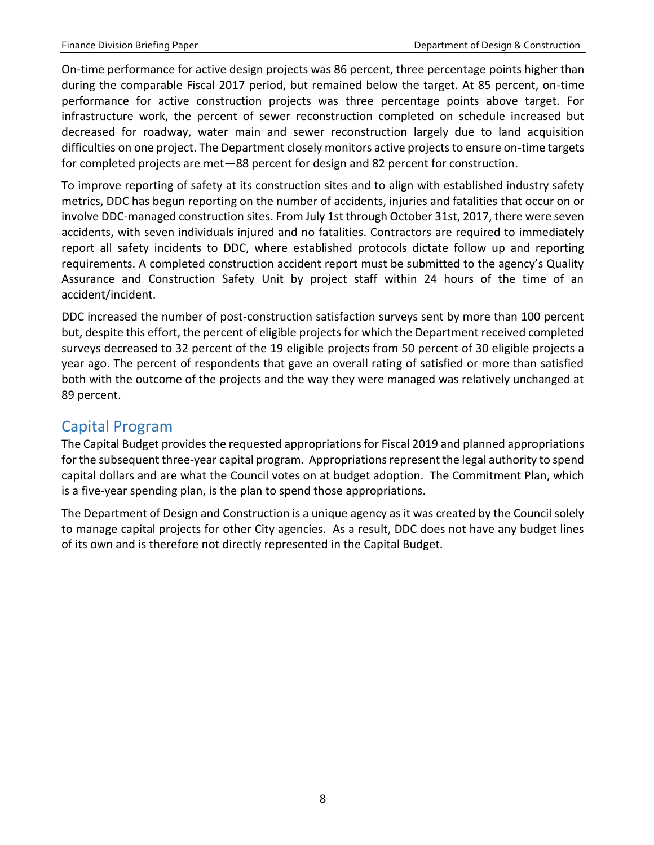On-time performance for active design projects was 86 percent, three percentage points higher than during the comparable Fiscal 2017 period, but remained below the target. At 85 percent, on-time performance for active construction projects was three percentage points above target. For infrastructure work, the percent of sewer reconstruction completed on schedule increased but decreased for roadway, water main and sewer reconstruction largely due to land acquisition difficulties on one project. The Department closely monitors active projects to ensure on-time targets for completed projects are met—88 percent for design and 82 percent for construction.

To improve reporting of safety at its construction sites and to align with established industry safety metrics, DDC has begun reporting on the number of accidents, injuries and fatalities that occur on or involve DDC-managed construction sites. From July 1st through October 31st, 2017, there were seven accidents, with seven individuals injured and no fatalities. Contractors are required to immediately report all safety incidents to DDC, where established protocols dictate follow up and reporting requirements. A completed construction accident report must be submitted to the agency's Quality Assurance and Construction Safety Unit by project staff within 24 hours of the time of an accident/incident.

DDC increased the number of post-construction satisfaction surveys sent by more than 100 percent but, despite this effort, the percent of eligible projects for which the Department received completed surveys decreased to 32 percent of the 19 eligible projects from 50 percent of 30 eligible projects a year ago. The percent of respondents that gave an overall rating of satisfied or more than satisfied both with the outcome of the projects and the way they were managed was relatively unchanged at 89 percent.

### <span id="page-9-0"></span>Capital Program

The Capital Budget provides the requested appropriations for Fiscal 2019 and planned appropriations for the subsequent three-year capital program. Appropriations represent the legal authority to spend capital dollars and are what the Council votes on at budget adoption. The Commitment Plan, which is a five-year spending plan, is the plan to spend those appropriations.

The Department of Design and Construction is a unique agency as it was created by the Council solely to manage capital projects for other City agencies. As a result, DDC does not have any budget lines of its own and is therefore not directly represented in the Capital Budget.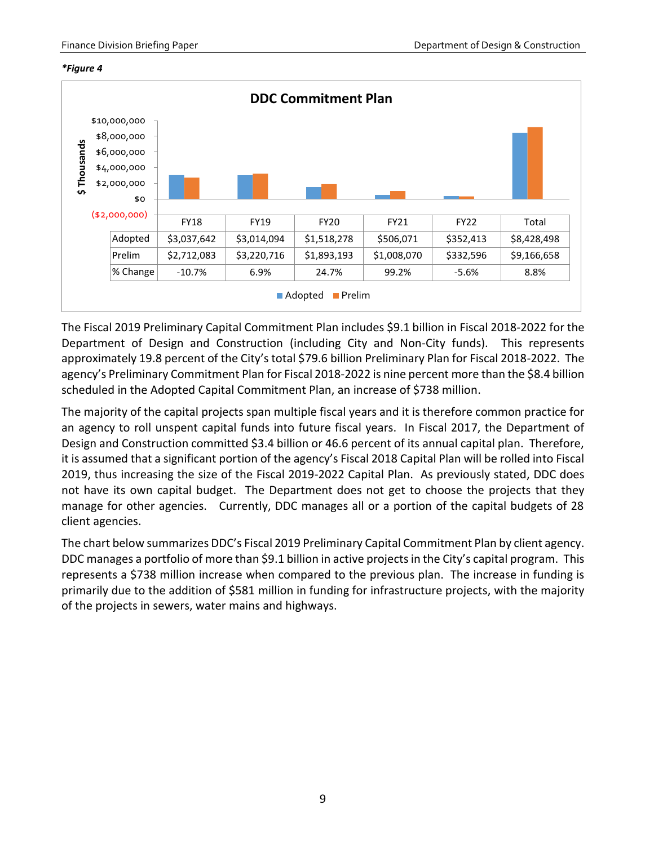



The Fiscal 2019 Preliminary Capital Commitment Plan includes \$9.1 billion in Fiscal 2018-2022 for the Department of Design and Construction (including City and Non-City funds). This represents approximately 19.8 percent of the City's total \$79.6 billion Preliminary Plan for Fiscal 2018-2022. The agency's Preliminary Commitment Plan for Fiscal 2018-2022 is nine percent more than the \$8.4 billion scheduled in the Adopted Capital Commitment Plan, an increase of \$738 million.

The majority of the capital projects span multiple fiscal years and it is therefore common practice for an agency to roll unspent capital funds into future fiscal years. In Fiscal 2017, the Department of Design and Construction committed \$3.4 billion or 46.6 percent of its annual capital plan. Therefore, it is assumed that a significant portion of the agency's Fiscal 2018 Capital Plan will be rolled into Fiscal 2019, thus increasing the size of the Fiscal 2019-2022 Capital Plan. As previously stated, DDC does not have its own capital budget. The Department does not get to choose the projects that they manage for other agencies. Currently, DDC manages all or a portion of the capital budgets of 28 client agencies.

The chart below summarizes DDC's Fiscal 2019 Preliminary Capital Commitment Plan by client agency. DDC manages a portfolio of more than \$9.1 billion in active projects in the City's capital program. This represents a \$738 million increase when compared to the previous plan. The increase in funding is primarily due to the addition of \$581 million in funding for infrastructure projects, with the majority of the projects in sewers, water mains and highways.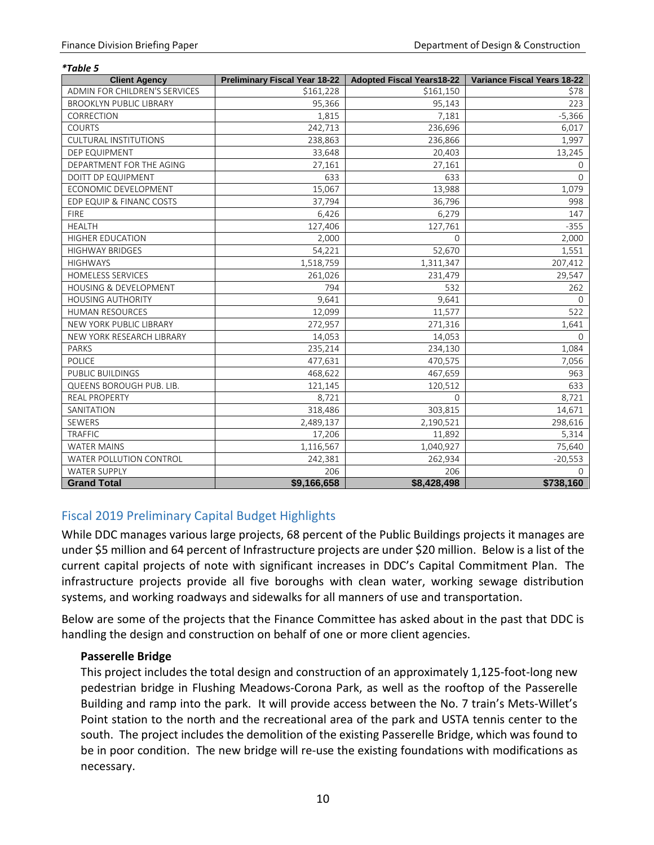*\*Table 5*

| <b>Client Agency</b>             | <b>Preliminary Fiscal Year 18-22</b> | <b>Adopted Fiscal Years18-22</b> | Variance Fiscal Years 18-22 |
|----------------------------------|--------------------------------------|----------------------------------|-----------------------------|
| ADMIN FOR CHILDREN'S SERVICES    | \$161,228                            | \$161,150                        | \$78                        |
| <b>BROOKLYN PUBLIC LIBRARY</b>   | 95,366                               | 95,143                           | 223                         |
| CORRECTION                       | 1,815                                | 7,181                            | $-5,366$                    |
| <b>COURTS</b>                    | 242,713                              | 236,696                          | 6,017                       |
| <b>CULTURAL INSTITUTIONS</b>     | 238,863                              | 236,866                          | 1,997                       |
| DEP EQUIPMENT                    | 33,648                               | 20,403                           | 13,245                      |
| DEPARTMENT FOR THE AGING         | 27,161                               | 27,161                           | $\mathbf{0}$                |
| <b>DOITT DP EQUIPMENT</b>        | 633                                  | 633                              | $\Omega$                    |
| ECONOMIC DEVELOPMENT             | 15,067                               | 13,988                           | 1,079                       |
| EDP EQUIP & FINANC COSTS         | 37,794                               | 36,796                           | 998                         |
| <b>FIRE</b>                      | 6,426                                | 6,279                            | 147                         |
| <b>HEALTH</b>                    | 127,406                              | 127,761                          | $-355$                      |
| <b>HIGHER EDUCATION</b>          | 2,000                                | $\Omega$                         | 2,000                       |
| <b>HIGHWAY BRIDGES</b>           | 54,221                               | 52,670                           | 1,551                       |
| <b>HIGHWAYS</b>                  | 1,518,759                            | 1,311,347                        | 207,412                     |
| <b>HOMELESS SERVICES</b>         | 261,026                              | 231,479                          | 29,547                      |
| <b>HOUSING &amp; DEVELOPMENT</b> | 794                                  | 532                              | 262                         |
| <b>HOUSING AUTHORITY</b>         | 9,641                                | 9,641                            | $\Omega$                    |
| <b>HUMAN RESOURCES</b>           | 12,099                               | 11,577                           | 522                         |
| NEW YORK PUBLIC LIBRARY          | 272,957                              | 271,316                          | 1,641                       |
| NEW YORK RESEARCH LIBRARY        | 14,053                               | 14,053                           | $\Omega$                    |
| <b>PARKS</b>                     | 235,214                              | 234,130                          | 1,084                       |
| <b>POLICE</b>                    | 477,631                              | 470,575                          | 7,056                       |
| PUBLIC BUILDINGS                 | 468,622                              | 467,659                          | 963                         |
| QUEENS BOROUGH PUB. LIB.         | 121,145                              | 120,512                          | 633                         |
| <b>REAL PROPERTY</b>             | 8,721                                | $\Omega$                         | 8,721                       |
| SANITATION                       | 318,486                              | 303,815                          | 14,671                      |
| SEWERS                           | 2,489,137                            | 2,190,521                        | 298,616                     |
| <b>TRAFFIC</b>                   | 17,206                               | 11,892                           | 5,314                       |
| <b>WATER MAINS</b>               | 1,116,567                            | 1,040,927                        | 75,640                      |
| <b>WATER POLLUTION CONTROL</b>   | 242,381                              | 262,934                          | $-20,553$                   |
| <b>WATER SUPPLY</b>              | 206                                  | 206                              | 0                           |
| <b>Grand Total</b>               | \$9,166,658                          | \$8,428,498                      | \$738,160                   |

### <span id="page-11-0"></span>Fiscal 2019 Preliminary Capital Budget Highlights

While DDC manages various large projects, 68 percent of the Public Buildings projects it manages are under \$5 million and 64 percent of Infrastructure projects are under \$20 million. Below is a list of the current capital projects of note with significant increases in DDC's Capital Commitment Plan. The infrastructure projects provide all five boroughs with clean water, working sewage distribution systems, and working roadways and sidewalks for all manners of use and transportation.

Below are some of the projects that the Finance Committee has asked about in the past that DDC is handling the design and construction on behalf of one or more client agencies.

### **Passerelle Bridge**

This project includes the total design and construction of an approximately 1,125-foot-long new pedestrian bridge in Flushing Meadows-Corona Park, as well as the rooftop of the Passerelle Building and ramp into the park. It will provide access between the No. 7 train's Mets-Willet's Point station to the north and the recreational area of the park and USTA tennis center to the south. The project includes the demolition of the existing Passerelle Bridge, which was found to be in poor condition. The new bridge will re-use the existing foundations with modifications as necessary.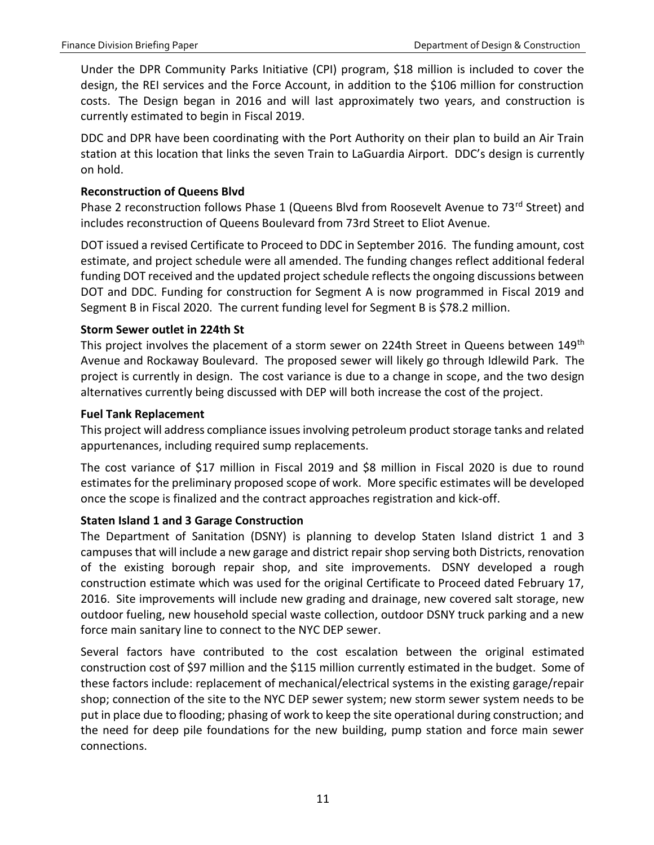Under the DPR Community Parks Initiative (CPI) program, \$18 million is included to cover the design, the REI services and the Force Account, in addition to the \$106 million for construction costs. The Design began in 2016 and will last approximately two years, and construction is currently estimated to begin in Fiscal 2019.

DDC and DPR have been coordinating with the Port Authority on their plan to build an Air Train station at this location that links the seven Train to LaGuardia Airport. DDC's design is currently on hold.

### **Reconstruction of Queens Blvd**

Phase 2 reconstruction follows Phase 1 (Queens Blvd from Roosevelt Avenue to 73<sup>rd</sup> Street) and includes reconstruction of Queens Boulevard from 73rd Street to Eliot Avenue.

DOT issued a revised Certificate to Proceed to DDC in September 2016. The funding amount, cost estimate, and project schedule were all amended. The funding changes reflect additional federal funding DOT received and the updated project schedule reflects the ongoing discussions between DOT and DDC. Funding for construction for Segment A is now programmed in Fiscal 2019 and Segment B in Fiscal 2020. The current funding level for Segment B is \$78.2 million.

### **Storm Sewer outlet in 224th St**

This project involves the placement of a storm sewer on 224th Street in Queens between 149<sup>th</sup> Avenue and Rockaway Boulevard. The proposed sewer will likely go through Idlewild Park. The project is currently in design. The cost variance is due to a change in scope, and the two design alternatives currently being discussed with DEP will both increase the cost of the project.

### **Fuel Tank Replacement**

This project will address compliance issues involving petroleum product storage tanks and related appurtenances, including required sump replacements.

The cost variance of \$17 million in Fiscal 2019 and \$8 million in Fiscal 2020 is due to round estimates for the preliminary proposed scope of work. More specific estimates will be developed once the scope is finalized and the contract approaches registration and kick-off.

### **Staten Island 1 and 3 Garage Construction**

The Department of Sanitation (DSNY) is planning to develop Staten Island district 1 and 3 campuses that will include a new garage and district repair shop serving both Districts, renovation of the existing borough repair shop, and site improvements. DSNY developed a rough construction estimate which was used for the original Certificate to Proceed dated February 17, 2016. Site improvements will include new grading and drainage, new covered salt storage, new outdoor fueling, new household special waste collection, outdoor DSNY truck parking and a new force main sanitary line to connect to the NYC DEP sewer.

Several factors have contributed to the cost escalation between the original estimated construction cost of \$97 million and the \$115 million currently estimated in the budget. Some of these factors include: replacement of mechanical/electrical systems in the existing garage/repair shop; connection of the site to the NYC DEP sewer system; new storm sewer system needs to be put in place due to flooding; phasing of work to keep the site operational during construction; and the need for deep pile foundations for the new building, pump station and force main sewer connections.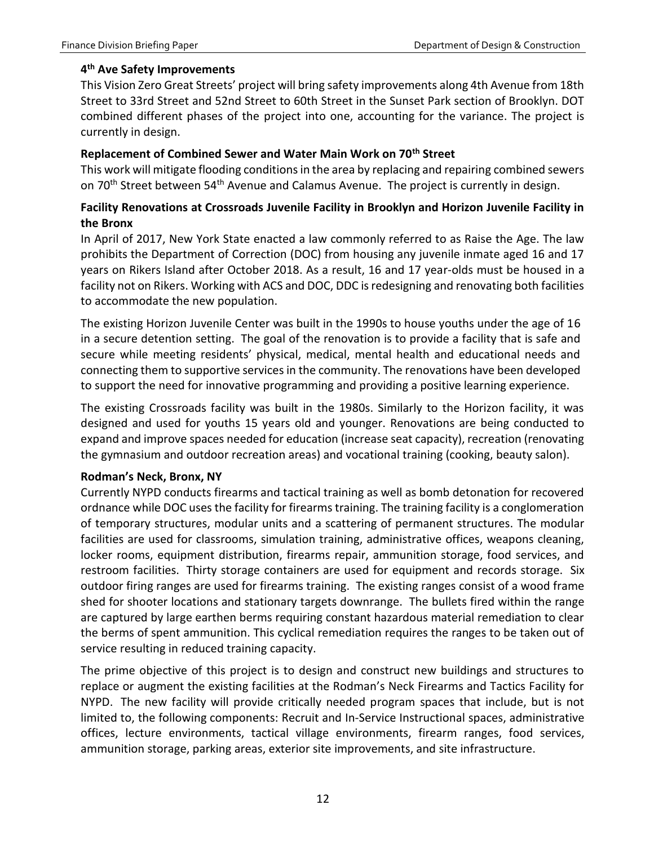### **4 th Ave Safety Improvements**

This Vision Zero Great Streets' project will bring safety improvements along 4th Avenue from 18th Street to 33rd Street and 52nd Street to 60th Street in the Sunset Park section of Brooklyn. DOT combined different phases of the project into one, accounting for the variance. The project is currently in design.

### **Replacement of Combined Sewer and Water Main Work on 70th Street**

This work will mitigate flooding conditions in the area by replacing and repairing combined sewers on 70<sup>th</sup> Street between 54<sup>th</sup> Avenue and Calamus Avenue. The project is currently in design.

### **Facility Renovations at Crossroads Juvenile Facility in Brooklyn and Horizon Juvenile Facility in the Bronx**

In April of 2017, New York State enacted a law commonly referred to as Raise the Age. The law prohibits the Department of Correction (DOC) from housing any juvenile inmate aged 16 and 17 years on Rikers Island after October 2018. As a result, 16 and 17 year-olds must be housed in a facility not on Rikers. Working with ACS and DOC, DDC is redesigning and renovating both facilities to accommodate the new population.

The existing Horizon Juvenile Center was built in the 1990s to house youths under the age of 16 in a secure detention setting. The goal of the renovation is to provide a facility that is safe and secure while meeting residents' physical, medical, mental health and educational needs and connecting them to supportive services in the community. The renovations have been developed to support the need for innovative programming and providing a positive learning experience.

The existing Crossroads facility was built in the 1980s. Similarly to the Horizon facility, it was designed and used for youths 15 years old and younger. Renovations are being conducted to expand and improve spaces needed for education (increase seat capacity), recreation (renovating the gymnasium and outdoor recreation areas) and vocational training (cooking, beauty salon).

### **Rodman's Neck, Bronx, NY**

Currently NYPD conducts firearms and tactical training as well as bomb detonation for recovered ordnance while DOC uses the facility for firearms training. The training facility is a conglomeration of temporary structures, modular units and a scattering of permanent structures. The modular facilities are used for classrooms, simulation training, administrative offices, weapons cleaning, locker rooms, equipment distribution, firearms repair, ammunition storage, food services, and restroom facilities. Thirty storage containers are used for equipment and records storage. Six outdoor firing ranges are used for firearms training. The existing ranges consist of a wood frame shed for shooter locations and stationary targets downrange. The bullets fired within the range are captured by large earthen berms requiring constant hazardous material remediation to clear the berms of spent ammunition. This cyclical remediation requires the ranges to be taken out of service resulting in reduced training capacity.

The prime objective of this project is to design and construct new buildings and structures to replace or augment the existing facilities at the Rodman's Neck Firearms and Tactics Facility for NYPD. The new facility will provide critically needed program spaces that include, but is not limited to, the following components: Recruit and In-Service Instructional spaces, administrative offices, lecture environments, tactical village environments, firearm ranges, food services, ammunition storage, parking areas, exterior site improvements, and site infrastructure.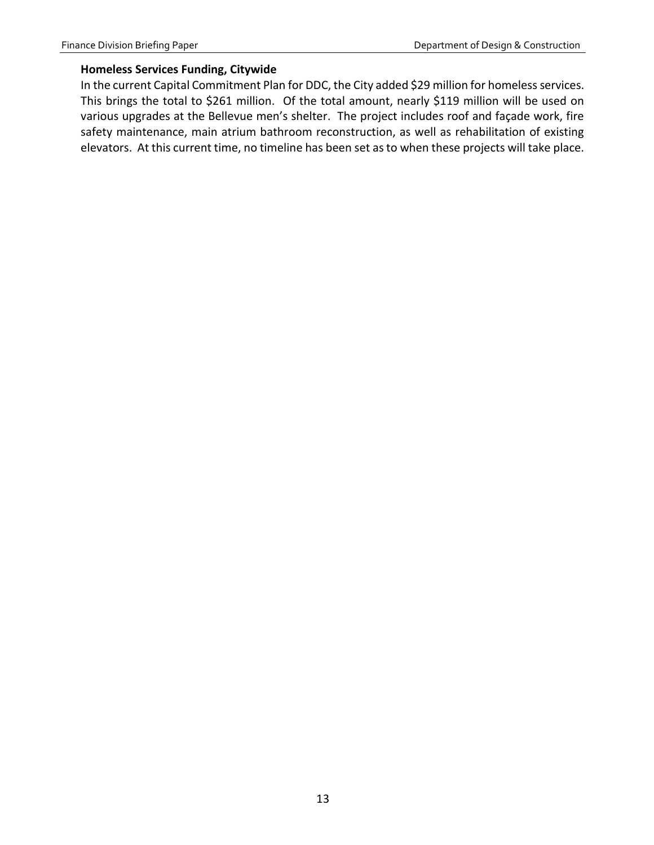### **Homeless Services Funding, Citywide**

In the current Capital Commitment Plan for DDC, the City added \$29 million for homeless services. This brings the total to \$261 million. Of the total amount, nearly \$119 million will be used on various upgrades at the Bellevue men's shelter. The project includes roof and façade work, fire safety maintenance, main atrium bathroom reconstruction, as well as rehabilitation of existing elevators. At this current time, no timeline has been set as to when these projects will take place.